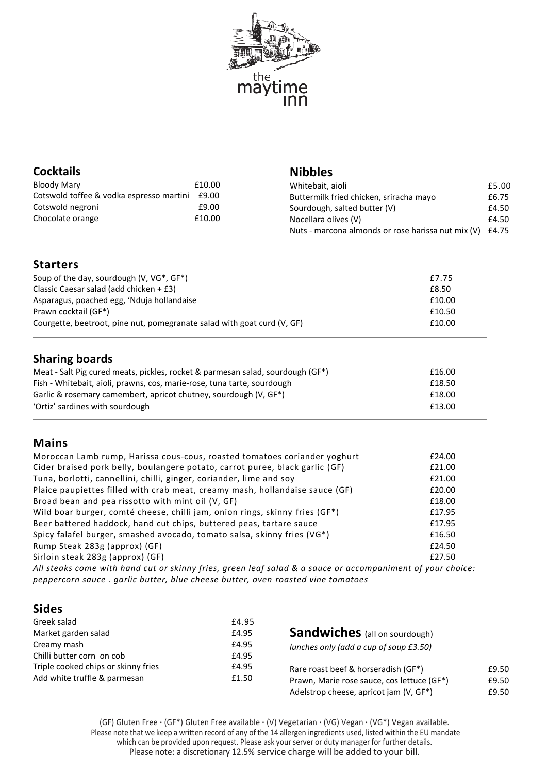

# **Cocktails**

| Bloody Mary                              | £10.00 |
|------------------------------------------|--------|
| Cotswold toffee & vodka espresso martini | £9.00  |
| Cotswold negroni                         | £9.00  |
| Chocolate orange                         | £10.00 |

#### **Nibbles**

| Whitebait, aioli                                         | £5.00 |
|----------------------------------------------------------|-------|
| Buttermilk fried chicken, sriracha mayo                  | £6.75 |
| Sourdough, salted butter (V)                             | £4.50 |
| Nocellara olives (V)                                     | £4.50 |
| Nuts - marcona almonds or rose harissa nut mix (V) £4.75 |       |
|                                                          |       |

## **Starters**

| Soup of the day, sourdough (V, VG*, GF*)                                | £7.75  |
|-------------------------------------------------------------------------|--------|
| Classic Caesar salad (add chicken + £3)                                 | £8.50  |
| Asparagus, poached egg, 'Nduja hollandaise                              | £10.00 |
| Prawn cocktail (GF*)                                                    | £10.50 |
| Courgette, beetroot, pine nut, pomegranate salad with goat curd (V, GF) | £10.00 |

# **Sharing boards**

| Meat - Salt Pig cured meats, pickles, rocket & parmesan salad, sourdough (GF*) | £16.00 |
|--------------------------------------------------------------------------------|--------|
| Fish - Whitebait, aioli, prawns, cos, marie-rose, tuna tarte, sourdough        | £18.50 |
| Garlic & rosemary camembert, apricot chutney, sourdough (V, GF*)               | £18.00 |
| 'Ortiz' sardines with sourdough                                                | £13.00 |

## **Mains**

| Moroccan Lamb rump, Harissa cous-cous, roasted tomatoes coriander yoghurt                                  | £24.00 |
|------------------------------------------------------------------------------------------------------------|--------|
| Cider braised pork belly, boulangere potato, carrot puree, black garlic (GF)                               | £21.00 |
| Tuna, borlotti, cannellini, chilli, ginger, coriander, lime and soy                                        | £21.00 |
| Plaice paupiettes filled with crab meat, creamy mash, hollandaise sauce (GF)                               | £20.00 |
| Broad bean and pea rissotto with mint oil (V, GF)                                                          | £18.00 |
| Wild boar burger, comté cheese, chilli jam, onion rings, skinny fries (GF*)                                | £17.95 |
| Beer battered haddock, hand cut chips, buttered peas, tartare sauce                                        | £17.95 |
| Spicy falafel burger, smashed avocado, tomato salsa, skinny fries (VG*)                                    | £16.50 |
| Rump Steak 283g (approx) (GF)                                                                              | £24.50 |
| Sirloin steak 283g (approx) (GF)                                                                           | £27.50 |
| All steaks come with hand cut or skinny fries, green leaf salad & a sauce or accompaniment of your choice: |        |

*peppercorn sauce . garlic butter, blue cheese butter, oven roasted vine tomatoes*

## **Sides**

| Greek salad                         | £4.95 |                                            |       |
|-------------------------------------|-------|--------------------------------------------|-------|
| Market garden salad                 | £4.95 | <b>Sandwiches</b> (all on sourdough)       |       |
| Creamy mash                         | £4.95 | lunches only (add a cup of soup £3.50)     |       |
| Chilli butter corn on cob           | £4.95 |                                            |       |
| Triple cooked chips or skinny fries | £4.95 | Rare roast beef & horseradish (GF*)        | £9.50 |
| Add white truffle & parmesan        | £1.50 | Prawn, Marie rose sauce, cos lettuce (GF*) | £9.50 |
|                                     |       | Adelstrop cheese, apricot jam (V, GF*)     | £9.50 |

(GF) Gluten Free **.** (GF\*) Gluten Free available **.** (V) Vegetarian **.** (VG) Vegan **.** (VG\*) Vegan available. Please note that we keep a written record of any of the 14 allergen ingredients used, listed within the EU mandate which can be provided upon request. Please ask your server or duty manager for further details. Please note: a discretionary 12.5% service charge will be added to your bill.